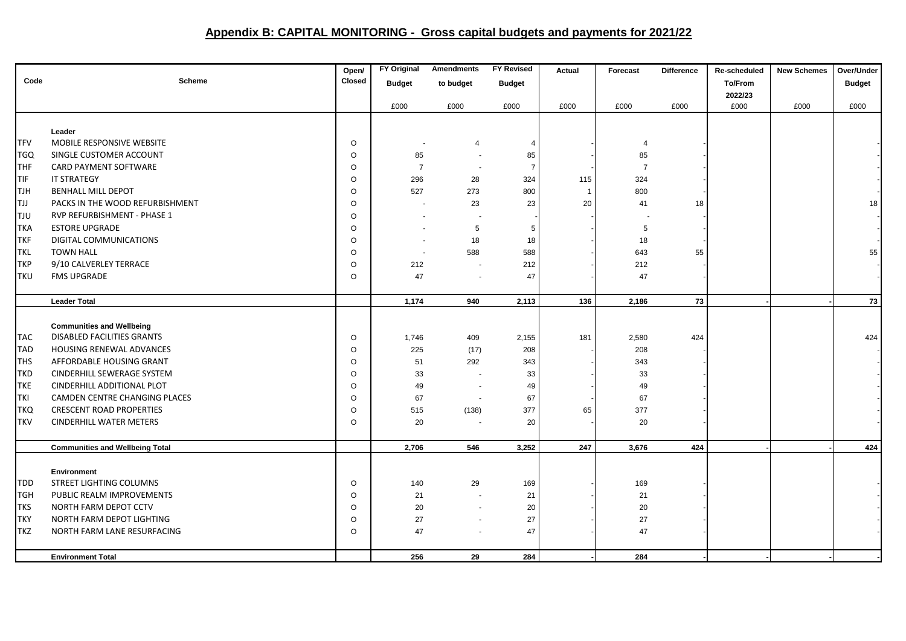## **Appendix B: CAPITAL MONITORING - Gross capital budgets and payments for 2021/22**

|            |                                        | Open/   | <b>FY Original</b>       | <b>Amendments</b> | <b>FY Revised</b> | Actual       | Forecast       | <b>Difference</b> | Re-scheduled | <b>New Schemes</b> | Over/Under    |
|------------|----------------------------------------|---------|--------------------------|-------------------|-------------------|--------------|----------------|-------------------|--------------|--------------------|---------------|
| Code       | <b>Scheme</b>                          | Closed  | <b>Budget</b>            | to budget         | <b>Budget</b>     |              |                |                   | To/From      |                    | <b>Budget</b> |
|            |                                        |         |                          |                   |                   |              |                |                   | 2022/23      |                    |               |
|            |                                        |         | £000                     | £000              | £000              | £000         | £000           | £000              | £000         | £000               | £000          |
|            |                                        |         |                          |                   |                   |              |                |                   |              |                    |               |
|            | Leader                                 |         |                          |                   |                   |              |                |                   |              |                    |               |
| <b>TFV</b> | MOBILE RESPONSIVE WEBSITE              | $\circ$ |                          | $\overline{4}$    | $\overline{4}$    |              | $\overline{4}$ |                   |              |                    |               |
| <b>TGQ</b> | SINGLE CUSTOMER ACCOUNT                | $\circ$ | 85                       |                   | 85                |              | 85             |                   |              |                    |               |
| THF        | CARD PAYMENT SOFTWARE                  | $\circ$ | $\overline{7}$           |                   | 7                 |              | $\overline{7}$ |                   |              |                    |               |
| TIF        | IT STRATEGY                            | $\circ$ | 296                      | 28                | 324               | 115          | 324            |                   |              |                    |               |
| <b>TJH</b> | <b>BENHALL MILL DEPOT</b>              | $\circ$ | 527                      | 273               | 800               | $\mathbf{1}$ | 800            |                   |              |                    |               |
| <b>TJJ</b> | PACKS IN THE WOOD REFURBISHMENT        | $\circ$ |                          | 23                | 23                | 20           | 41             | 18                |              |                    | 18            |
| <b>TJU</b> | RVP REFURBISHMENT - PHASE 1            | $\circ$ |                          |                   |                   |              |                |                   |              |                    |               |
| <b>TKA</b> | <b>ESTORE UPGRADE</b>                  | $\circ$ |                          | 5                 | 5                 |              | $\mathbf 5$    |                   |              |                    |               |
| <b>TKF</b> | DIGITAL COMMUNICATIONS                 | $\circ$ | $\overline{\phantom{a}}$ | 18                | 18                |              | 18             |                   |              |                    |               |
| <b>TKL</b> | <b>TOWN HALL</b>                       | $\circ$ |                          | 588               | 588               |              | 643            | 55                |              |                    | 55            |
| <b>TKP</b> | 9/10 CALVERLEY TERRACE                 | $\circ$ | 212                      |                   | 212               |              | 212            |                   |              |                    |               |
| <b>TKU</b> | <b>FMS UPGRADE</b>                     | $\circ$ | 47                       |                   | 47                |              | 47             |                   |              |                    |               |
|            |                                        |         |                          |                   |                   |              |                |                   |              |                    |               |
|            | <b>Leader Total</b>                    |         | 1,174                    | 940               | 2,113             | 136          | 2,186          | 73                |              |                    | 73            |
|            |                                        |         |                          |                   |                   |              |                |                   |              |                    |               |
|            | <b>Communities and Wellbeing</b>       |         |                          |                   |                   |              |                |                   |              |                    |               |
| <b>TAC</b> | <b>DISABLED FACILITIES GRANTS</b>      | $\circ$ | 1,746                    | 409               | 2,155             | 181          | 2,580          | 424               |              |                    | 424           |
| <b>TAD</b> | <b>HOUSING RENEWAL ADVANCES</b>        | $\circ$ | 225                      | (17)              | 208               |              | 208            |                   |              |                    |               |
| <b>THS</b> | AFFORDABLE HOUSING GRANT               | $\circ$ | 51                       | 292               | 343               |              | 343            |                   |              |                    |               |
| <b>TKD</b> | CINDERHILL SEWERAGE SYSTEM             | $\circ$ | 33                       |                   | 33                |              | 33             |                   |              |                    |               |
| <b>TKE</b> | CINDERHILL ADDITIONAL PLOT             | $\circ$ | 49                       |                   | 49                |              | 49             |                   |              |                    |               |
| <b>TKI</b> | CAMDEN CENTRE CHANGING PLACES          | $\circ$ | 67                       |                   | 67                |              | 67             |                   |              |                    |               |
| <b>TKQ</b> | <b>CRESCENT ROAD PROPERTIES</b>        | $\circ$ | 515                      | (138)             | 377               | 65           | 377            |                   |              |                    |               |
| <b>TKV</b> | <b>CINDERHILL WATER METERS</b>         | $\circ$ | 20                       |                   | 20                |              | 20             |                   |              |                    |               |
|            |                                        |         |                          |                   |                   |              |                |                   |              |                    |               |
|            | <b>Communities and Wellbeing Total</b> |         | 2,706                    | 546               | 3,252             | 247          | 3,676          | 424               |              |                    | 424           |
|            |                                        |         |                          |                   |                   |              |                |                   |              |                    |               |
|            | Environment                            |         |                          |                   |                   |              |                |                   |              |                    |               |
| <b>TDD</b> | STREET LIGHTING COLUMNS                | $\circ$ | 140                      | 29                | 169               |              | 169            |                   |              |                    |               |
| <b>TGH</b> | PUBLIC REALM IMPROVEMENTS              | $\circ$ | 21                       |                   | 21                |              | 21             |                   |              |                    |               |
| <b>TKS</b> | NORTH FARM DEPOT CCTV                  | $\circ$ | 20                       |                   | 20                |              | 20             |                   |              |                    |               |
| <b>TKY</b> | NORTH FARM DEPOT LIGHTING              | $\circ$ | 27                       |                   | 27                |              | 27             |                   |              |                    |               |
| <b>TKZ</b> | NORTH FARM LANE RESURFACING            | $\circ$ | 47                       |                   | 47                |              | 47             |                   |              |                    |               |
|            |                                        |         |                          |                   |                   |              |                |                   |              |                    |               |
|            | <b>Environment Total</b>               |         | 256                      | 29                | 284               |              | 284            |                   |              |                    |               |